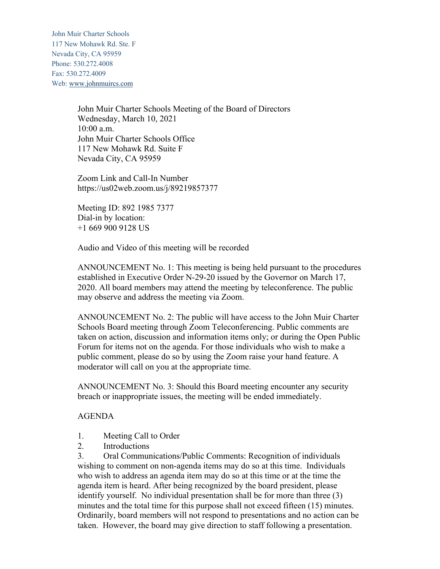John Muir Charter Schools 117 New Mohawk Rd. Ste. F Nevada City, CA 95959 Phone: 530.272.4008 Fax: 530.272.4009 Web: www.johnmuircs.com

> John Muir Charter Schools Meeting of the Board of Directors Wednesday, March 10, 2021 10:00 a.m. John Muir Charter Schools Office 117 New Mohawk Rd. Suite F Nevada City, CA 95959

Zoom Link and Call-In Number https://us02web.zoom.us/j/89219857377

Meeting ID: 892 1985 7377 Dial-in by location: +1 669 900 9128 US

Audio and Video of this meeting will be recorded

ANNOUNCEMENT No. 1: This meeting is being held pursuant to the procedures established in Executive Order N-29-20 issued by the Governor on March 17, 2020. All board members may attend the meeting by teleconference. The public may observe and address the meeting via Zoom.

ANNOUNCEMENT No. 2: The public will have access to the John Muir Charter Schools Board meeting through Zoom Teleconferencing. Public comments are taken on action, discussion and information items only; or during the Open Public Forum for items not on the agenda. For those individuals who wish to make a public comment, please do so by using the Zoom raise your hand feature. A moderator will call on you at the appropriate time.

ANNOUNCEMENT No. 3: Should this Board meeting encounter any security breach or inappropriate issues, the meeting will be ended immediately.

### AGENDA

- 1. Meeting Call to Order
- 2. Introductions

3. Oral Communications/Public Comments: Recognition of individuals wishing to comment on non-agenda items may do so at this time. Individuals who wish to address an agenda item may do so at this time or at the time the agenda item is heard. After being recognized by the board president, please identify yourself. No individual presentation shall be for more than three (3) minutes and the total time for this purpose shall not exceed fifteen (15) minutes. Ordinarily, board members will not respond to presentations and no action can be taken. However, the board may give direction to staff following a presentation.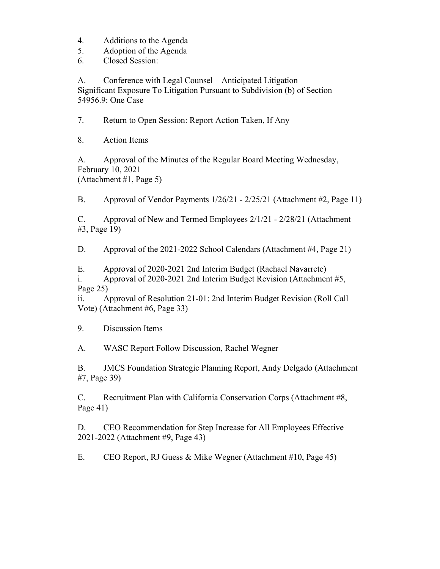- 4. Additions to the Agenda
- 5. Adoption of the Agenda
- 6. Closed Session:

A. Conference with Legal Counsel – Anticipated Litigation Significant Exposure To Litigation Pursuant to Subdivision (b) of Section 54956.9: One Case

7. Return to Open Session: Report Action Taken, If Any

8. Action Items

A. Approval of the Minutes of the Regular Board Meeting Wednesday, February 10, 2021 (Attachment #1, Page 5)

B. Approval of Vendor Payments 1/26/21 - 2/25/21 (Attachment #2, Page 11)

C. Approval of New and Termed Employees 2/1/21 - 2/28/21 (Attachment #3, Page 19)

D. Approval of the 2021-2022 School Calendars (Attachment #4, Page 21)

E. Approval of 2020-2021 2nd Interim Budget (Rachael Navarrete)

i. Approval of 2020-2021 2nd Interim Budget Revision (Attachment #5, Page 25)

ii. Approval of Resolution 21-01: 2nd Interim Budget Revision (Roll Call Vote) (Attachment #6, Page 33)

9. Discussion Items

A. WASC Report Follow Discussion, Rachel Wegner

B. JMCS Foundation Strategic Planning Report, Andy Delgado (Attachment #7, Page 39)

C. Recruitment Plan with California Conservation Corps (Attachment #8, Page 41)

D. CEO Recommendation for Step Increase for All Employees Effective 2021-2022 (Attachment #9, Page 43)

E. CEO Report, RJ Guess & Mike Wegner (Attachment #10, Page 45)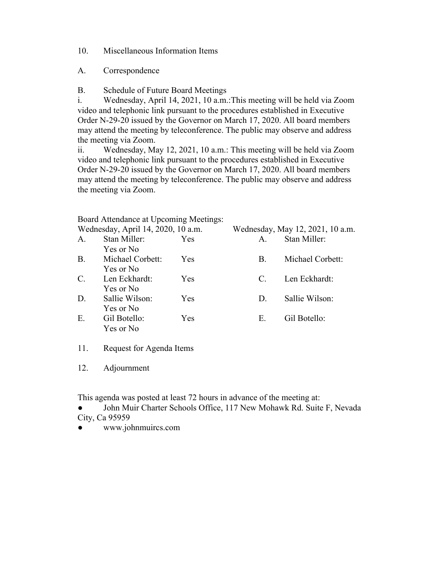10. Miscellaneous Information Items

A. Correspondence

B. Schedule of Future Board Meetings

i. Wednesday, April 14, 2021, 10 a.m.:This meeting will be held via Zoom video and telephonic link pursuant to the procedures established in Executive Order N-29-20 issued by the Governor on March 17, 2020. All board members may attend the meeting by teleconference. The public may observe and address the meeting via Zoom.

ii. Wednesday, May 12, 2021, 10 a.m.: This meeting will be held via Zoom video and telephonic link pursuant to the procedures established in Executive Order N-29-20 issued by the Governor on March 17, 2020. All board members may attend the meeting by teleconference. The public may observe and address the meeting via Zoom.

Board Attendance at Upcoming Meetings:

|           | Wednesday, April 14, 2020, 10 a.m. |     |             | Wednesday, May 12, 2021, 10 a.m. |
|-----------|------------------------------------|-----|-------------|----------------------------------|
| A.        | Stan Miller:                       | Yes | A.          | Stan Miller:                     |
|           | Yes or No                          |     |             |                                  |
| <b>B.</b> | Michael Corbett:                   | Yes | В.          | Michael Corbett:                 |
|           | Yes or No                          |     |             |                                  |
| C.        | Len Eckhardt:                      | Yes | C.          | Len Eckhardt:                    |
|           | Yes or No                          |     |             |                                  |
| D.        | Sallie Wilson:                     | Yes | $D_{\cdot}$ | Sallie Wilson:                   |
|           | Yes or No                          |     |             |                                  |
| Ε.        | Gil Botello:                       | Yes | Е.          | Gil Botello:                     |
|           | Yes or No                          |     |             |                                  |
|           |                                    |     |             |                                  |

11. Request for Agenda Items

12. Adjournment

This agenda was posted at least 72 hours in advance of the meeting at:

John Muir Charter Schools Office, 117 New Mohawk Rd. Suite F, Nevada City, Ca 95959

● www.johnmuircs.com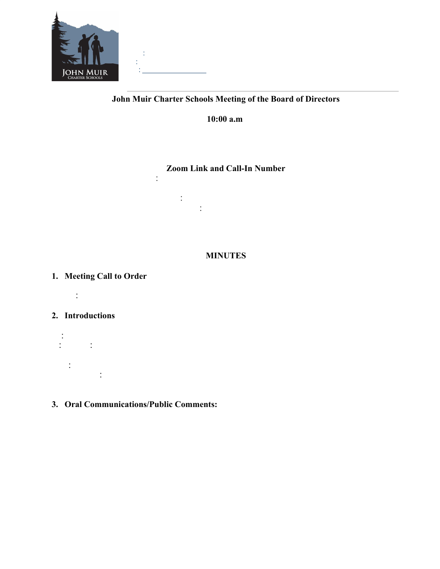

## **John Muir Charter Schools Meeting of the Board of Directors**

**10:00 a.m**

# **Zoom Link and Call-In Number**

htps://us02web.zom.us/j/85203945794  $\mathbb{R}^2$ Dial-in by locatin:

#### **MINUTES**

## **1. Meeting Call to Order**

 $\mathbb{R}^{\mathbb{N} \times 1}$ 

## **2. Introductions**

- $\frac{1}{\sqrt{2}}$  $\mathbb{R}^2$  $\ddot{\phantom{a}}$ Hope, RJ Gues, Anthoy Serao of Young, Miney, & Cor (arived at 10:42 am).
- **3. Oral Communications/Public Comments:**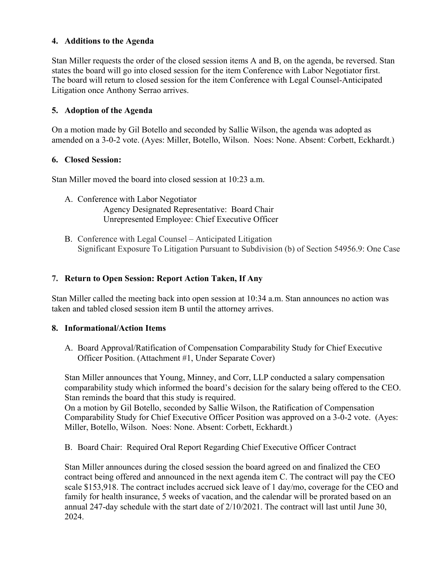### **4. Additions to the Agenda**

Stan Miller requests the order of the closed session items A and B, on the agenda, be reversed. Stan states the board will go into closed session for the item Conference with Labor Negotiator first. The board will return to closed session for the item Conference with Legal Counsel-Anticipated Litigation once Anthony Serrao arrives.

## **5. Adoption of the Agenda**

On a motion made by Gil Botello and seconded by Sallie Wilson, the agenda was adopted as amended on a 3-0-2 vote. (Ayes: Miller, Botello, Wilson. Noes: None. Absent: Corbett, Eckhardt.)

### **6. Closed Session:**

Stan Miller moved the board into closed session at 10:23 a.m.

- A. Conference with Labor Negotiator Agency Designated Representative: Board Chair Unrepresented Employee: Chief Executive Officer
- B. Conference with Legal Counsel Anticipated Litigation Significant Exposure To Litigation Pursuant to Subdivision (b) of Section 54956.9: One Case

## **7. Return to Open Session: Report Action Taken, If Any**

Stan Miller called the meeting back into open session at 10:34 a.m. Stan announces no action was taken and tabled closed session item B until the attorney arrives.

### **8. Informational/Action Items**

A. Board Approval/Ratification of Compensation Comparability Study for Chief Executive Officer Position. (Attachment #1, Under Separate Cover)

Stan Miller announces that Young, Minney, and Corr, LLP conducted a salary compensation comparability study which informed the board's decision for the salary being offered to the CEO. Stan reminds the board that this study is required.

On a motion by Gil Botello, seconded by Sallie Wilson, the Ratification of Compensation Comparability Study for Chief Executive Officer Position was approved on a 3-0-2 vote. (Ayes: Miller, Botello, Wilson. Noes: None. Absent: Corbett, Eckhardt.)

B. Board Chair: Required Oral Report Regarding Chief Executive Officer Contract

Stan Miller announces during the closed session the board agreed on and finalized the CEO contract being offered and announced in the next agenda item C. The contract will pay the CEO scale \$153,918. The contract includes accrued sick leave of 1 day/mo, coverage for the CEO and family for health insurance, 5 weeks of vacation, and the calendar will be prorated based on an annual 247-day schedule with the start date of 2/10/2021. The contract will last until June 30, 2024.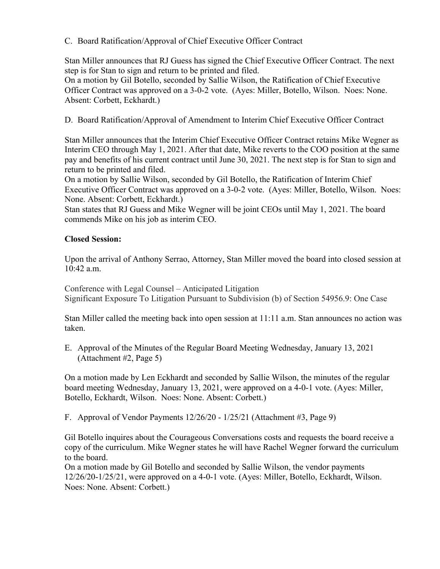### C. Board Ratification/Approval of Chief Executive Officer Contract

Stan Miller announces that RJ Guess has signed the Chief Executive Officer Contract. The next step is for Stan to sign and return to be printed and filed.

On a motion by Gil Botello, seconded by Sallie Wilson, the Ratification of Chief Executive Officer Contract was approved on a 3-0-2 vote. (Ayes: Miller, Botello, Wilson. Noes: None. Absent: Corbett, Eckhardt.)

D. Board Ratification/Approval of Amendment to Interim Chief Executive Officer Contract

Stan Miller announces that the Interim Chief Executive Officer Contract retains Mike Wegner as Interim CEO through May 1, 2021. After that date, Mike reverts to the COO position at the same pay and benefits of his current contract until June 30, 2021. The next step is for Stan to sign and return to be printed and filed.

On a motion by Sallie Wilson, seconded by Gil Botello, the Ratification of Interim Chief Executive Officer Contract was approved on a 3-0-2 vote. (Ayes: Miller, Botello, Wilson. Noes: None. Absent: Corbett, Eckhardt.)

Stan states that RJ Guess and Mike Wegner will be joint CEOs until May 1, 2021. The board commends Mike on his job as interim CEO.

## **Closed Session:**

Upon the arrival of Anthony Serrao, Attorney, Stan Miller moved the board into closed session at 10:42 a.m.

Conference with Legal Counsel – Anticipated Litigation Significant Exposure To Litigation Pursuant to Subdivision (b) of Section 54956.9: One Case

Stan Miller called the meeting back into open session at 11:11 a.m. Stan announces no action was taken.

E. Approval of the Minutes of the Regular Board Meeting Wednesday, January 13, 2021 (Attachment #2, Page 5)

On a motion made by Len Eckhardt and seconded by Sallie Wilson, the minutes of the regular board meeting Wednesday, January 13, 2021, were approved on a 4-0-1 vote. (Ayes: Miller, Botello, Eckhardt, Wilson. Noes: None. Absent: Corbett.)

F. Approval of Vendor Payments  $12/26/20 - 1/25/21$  (Attachment #3, Page 9)

Gil Botello inquires about the Courageous Conversations costs and requests the board receive a copy of the curriculum. Mike Wegner states he will have Rachel Wegner forward the curriculum to the board.

On a motion made by Gil Botello and seconded by Sallie Wilson, the vendor payments 12/26/20-1/25/21, were approved on a 4-0-1 vote. (Ayes: Miller, Botello, Eckhardt, Wilson. Noes: None. Absent: Corbett.)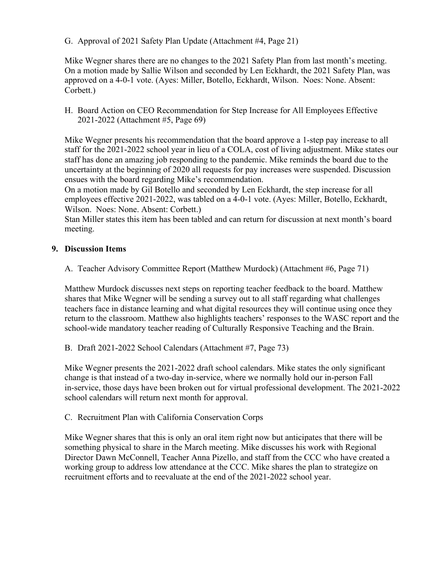G. Approval of 2021 Safety Plan Update (Attachment #4, Page 21)

Mike Wegner shares there are no changes to the 2021 Safety Plan from last month's meeting. On a motion made by Sallie Wilson and seconded by Len Eckhardt, the 2021 Safety Plan, was approved on a 4-0-1 vote. (Ayes: Miller, Botello, Eckhardt, Wilson. Noes: None. Absent: Corbett.)

H. Board Action on CEO Recommendation for Step Increase for All Employees Effective 2021-2022 (Attachment #5, Page 69)

Mike Wegner presents his recommendation that the board approve a 1-step pay increase to all staff for the 2021-2022 school year in lieu of a COLA, cost of living adjustment. Mike states our staff has done an amazing job responding to the pandemic. Mike reminds the board due to the uncertainty at the beginning of 2020 all requests for pay increases were suspended. Discussion ensues with the board regarding Mike's recommendation.

On a motion made by Gil Botello and seconded by Len Eckhardt, the step increase for all employees effective 2021-2022, was tabled on a 4-0-1 vote. (Ayes: Miller, Botello, Eckhardt, Wilson. Noes: None. Absent: Corbett.)

Stan Miller states this item has been tabled and can return for discussion at next month's board meeting.

## **9. Discussion Items**

A. Teacher Advisory Committee Report (Matthew Murdock) (Attachment #6, Page 71)

Matthew Murdock discusses next steps on reporting teacher feedback to the board. Matthew shares that Mike Wegner will be sending a survey out to all staff regarding what challenges teachers face in distance learning and what digital resources they will continue using once they return to the classroom. Matthew also highlights teachers' responses to the WASC report and the school-wide mandatory teacher reading of Culturally Responsive Teaching and the Brain.

B. Draft 2021-2022 School Calendars (Attachment #7, Page 73)

Mike Wegner presents the 2021-2022 draft school calendars. Mike states the only significant change is that instead of a two-day in-service, where we normally hold our in-person Fall in-service, those days have been broken out for virtual professional development. The 2021-2022 school calendars will return next month for approval.

C. Recruitment Plan with California Conservation Corps

Mike Wegner shares that this is only an oral item right now but anticipates that there will be something physical to share in the March meeting. Mike discusses his work with Regional Director Dawn McConnell, Teacher Anna Pizello, and staff from the CCC who have created a working group to address low attendance at the CCC. Mike shares the plan to strategize on recruitment efforts and to reevaluate at the end of the 2021-2022 school year.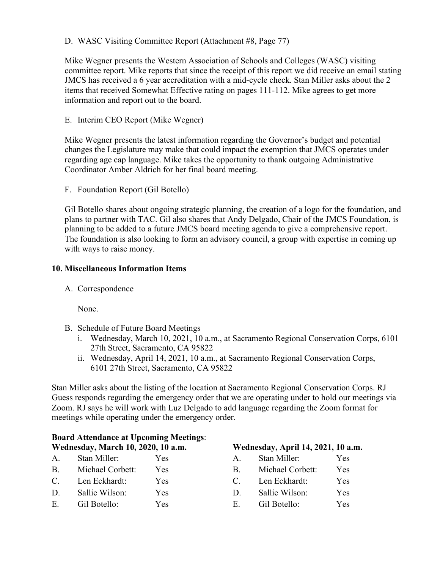### D. WASC Visiting Committee Report (Attachment #8, Page 77)

Mike Wegner presents the Western Association of Schools and Colleges (WASC) visiting committee report. Mike reports that since the receipt of this report we did receive an email stating JMCS has received a 6 year accreditation with a mid-cycle check. Stan Miller asks about the 2 items that received Somewhat Effective rating on pages 111-112. Mike agrees to get more information and report out to the board.

E. Interim CEO Report (Mike Wegner)

Mike Wegner presents the latest information regarding the Governor's budget and potential changes the Legislature may make that could impact the exemption that JMCS operates under regarding age cap language. Mike takes the opportunity to thank outgoing Administrative Coordinator Amber Aldrich for her final board meeting.

F. Foundation Report (Gil Botello)

Gil Botello shares about ongoing strategic planning, the creation of a logo for the foundation, and plans to partner with TAC. Gil also shares that Andy Delgado, Chair of the JMCS Foundation, is planning to be added to a future JMCS board meeting agenda to give a comprehensive report. The foundation is also looking to form an advisory council, a group with expertise in coming up with ways to raise money.

### **10. Miscellaneous Information Items**

A. Correspondence

None.

- B. Schedule of Future Board Meetings
	- i. Wednesday, March 10, 2021, 10 a.m., at Sacramento Regional Conservation Corps, 6101 27th Street, Sacramento, CA 95822
	- ii. Wednesday, April 14, 2021, 10 a.m., at Sacramento Regional Conservation Corps, 6101 27th Street, Sacramento, CA 95822

Stan Miller asks about the listing of the location at Sacramento Regional Conservation Corps. RJ Guess responds regarding the emergency order that we are operating under to hold our meetings via Zoom. RJ says he will work with Luz Delgado to add language regarding the Zoom format for meetings while operating under the emergency order.

| <b>Board Attendance at Upcoming Meetings:</b> |                  |            |                                    |                  |     |  |  |  |  |
|-----------------------------------------------|------------------|------------|------------------------------------|------------------|-----|--|--|--|--|
| Wednesday, March 10, 2020, 10 a.m.            |                  |            | Wednesday, April 14, 2021, 10 a.m. |                  |     |  |  |  |  |
| A.                                            | Stan Miller:     | <b>Yes</b> | $A_{-}$                            | Stan Miller:     | Yes |  |  |  |  |
| $B_{\cdot}$                                   | Michael Corbett: | Yes        | B.                                 | Michael Corbett: | Yes |  |  |  |  |
| C.                                            | Len Eckhardt:    | Yes        |                                    | Len Eckhardt:    | Yes |  |  |  |  |
| D.                                            | Sallie Wilson:   | Yes        | $\Box$                             | Sallie Wilson:   | Yes |  |  |  |  |
| E.                                            | Gil Botello:     | Yes        | Е.                                 | Gil Botello:     | Yes |  |  |  |  |